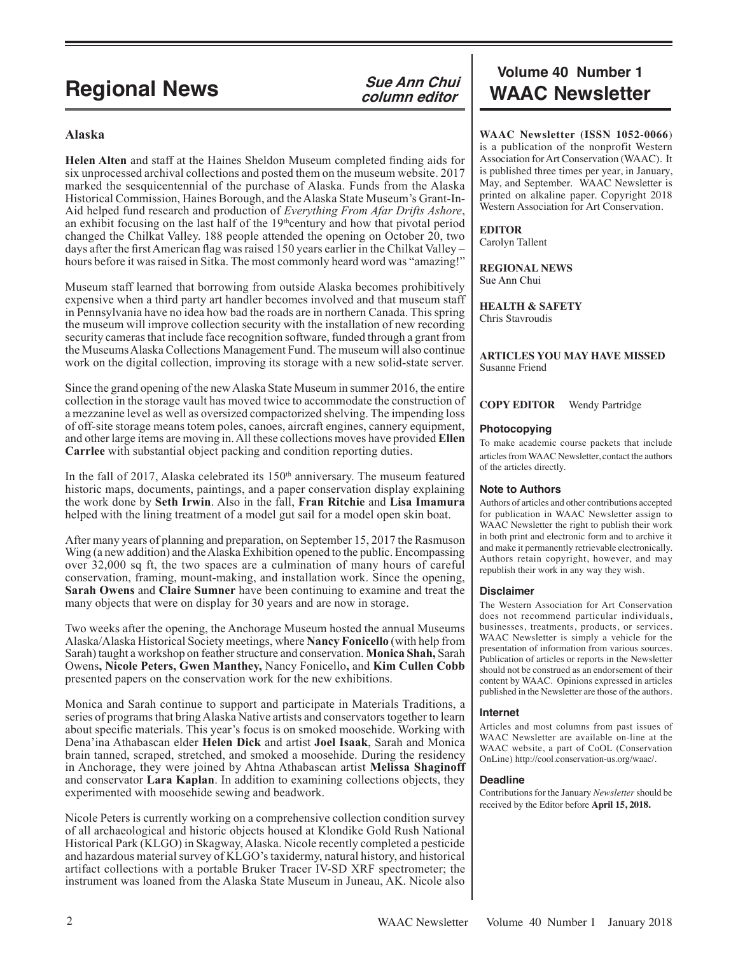# **Regional News**

### **Alaska**

**Helen Alten** and staff at the Haines Sheldon Museum completed finding aids for six unprocessed archival collections and posted them on the museum website. 2017 marked the sesquicentennial of the purchase of Alaska. Funds from the Alaska Historical Commission, Haines Borough, and the Alaska State Museum's Grant-In-Aid helped fund research and production of *Everything From Afar Drifts Ashore*, an exhibit focusing on the last half of the  $19<sup>th</sup>$ century and how that pivotal period changed the Chilkat Valley. 188 people attended the opening on October 20, two days after the first American flag was raised 150 years earlier in the Chilkat Valley – hours before it was raised in Sitka. The most commonly heard word was "amazing!"

Museum staff learned that borrowing from outside Alaska becomes prohibitively expensive when a third party art handler becomes involved and that museum staff in Pennsylvania have no idea how bad the roads are in northern Canada. This spring the museum will improve collection security with the installation of new recording security cameras that include face recognition software, funded through a grant from the Museums Alaska Collections Management Fund. The museum will also continue work on the digital collection, improving its storage with a new solid-state server.

Since the grand opening of the new Alaska State Museum in summer 2016, the entire collection in the storage vault has moved twice to accommodate the construction of a mezzanine level as well as oversized compactorized shelving. The impending loss of off-site storage means totem poles, canoes, aircraft engines, cannery equipment, and other large items are moving in. All these collections moves have provided **Ellen Carrlee** with substantial object packing and condition reporting duties.

In the fall of 2017, Alaska celebrated its  $150<sup>th</sup>$  anniversary. The museum featured historic maps, documents, paintings, and a paper conservation display explaining the work done by **Seth Irwin**. Also in the fall, **Fran Ritchie** and **Lisa Imamura** helped with the lining treatment of a model gut sail for a model open skin boat.

After many years of planning and preparation, on September 15, 2017 the Rasmuson Wing (a new addition) and the Alaska Exhibition opened to the public. Encompassing over 32,000 sq ft, the two spaces are a culmination of many hours of careful conservation, framing, mount-making, and installation work. Since the opening, **Sarah Owens** and **Claire Sumner** have been continuing to examine and treat the many objects that were on display for 30 years and are now in storage.

Two weeks after the opening, the Anchorage Museum hosted the annual Museums Alaska/Alaska Historical Society meetings, where **Nancy Fonicello** (with help from Sarah) taught a workshop on feather structure and conservation. **Monica Shah,** Sarah Owens**, Nicole Peters, Gwen Manthey,** Nancy Fonicello**,** and **Kim Cullen Cobb** presented papers on the conservation work for the new exhibitions.

Monica and Sarah continue to support and participate in Materials Traditions, a series of programs that bring Alaska Native artists and conservators together to learn about specific materials. This year's focus is on smoked moosehide. Working with Dena'ina Athabascan elder **Helen Dick** and artist **Joel Isaak**, Sarah and Monica brain tanned, scraped, stretched, and smoked a moosehide. During the residency in Anchorage, they were joined by Ahtna Athabascan artist **Melissa Shaginoff** and conservator **Lara Kaplan**. In addition to examining collections objects, they experimented with moosehide sewing and beadwork.

Nicole Peters is currently working on a comprehensive collection condition survey of all archaeological and historic objects housed at Klondike Gold Rush National Historical Park (KLGO) in Skagway, Alaska. Nicole recently completed a pesticide and hazardous material survey of KLGO's taxidermy, natural history, and historical artifact collections with a portable Bruker Tracer IV-SD XRF spectrometer; the instrument was loaned from the Alaska State Museum in Juneau, AK. Nicole also

# **Volume 40 Number 1 Sue Ann Chui WAAC Newsletter**

**WAAC Newsletter (ISSN 1052-0066**) is a publication of the nonprofit Western Association for Art Conservation (WAAC). It is published three times per year, in January, May, and September. WAAC Newsletter is printed on alkaline paper. Copyright 2018 Western Association for Art Conservation.

### **EDITOR**

Carolyn Tallent

**REGIONAL NEWS** Sue Ann Chui

**HEALTH & SAFETY** Chris Stavroudis

**ARTICLES YOU MAY HAVE MISSED** Susanne Friend

**COPY EDITOR** Wendy Partridge

#### **Photocopying**

To make academic course packets that include articles from WAAC Newsletter, contact the authors of the articles directly.

#### **Note to Authors**

Authors of articles and other contributions accepted for publication in WAAC Newsletter assign to WAAC Newsletter the right to publish their work in both print and electronic form and to archive it and make it permanently retrievable electronically. Authors retain copyright, however, and may republish their work in any way they wish.

#### **Disclaimer**

The Western Association for Art Conservation does not recommend particular individuals, businesses, treatments, products, or services. WAAC Newsletter is simply a vehicle for the presentation of information from various sources. Publication of articles or reports in the Newsletter should not be construed as an endorsement of their content by WAAC. Opinions expressed in articles published in the Newsletter are those of the authors.

#### **Internet**

Articles and most columns from past issues of WAAC Newsletter are available on-line at the WAAC website, a part of CoOL (Conservation OnLine) http://cool.conservation-us.org/waac/.

#### **Deadline**

Contributions for the January *Newsletter* should be received by the Editor before **April 15, 2018.**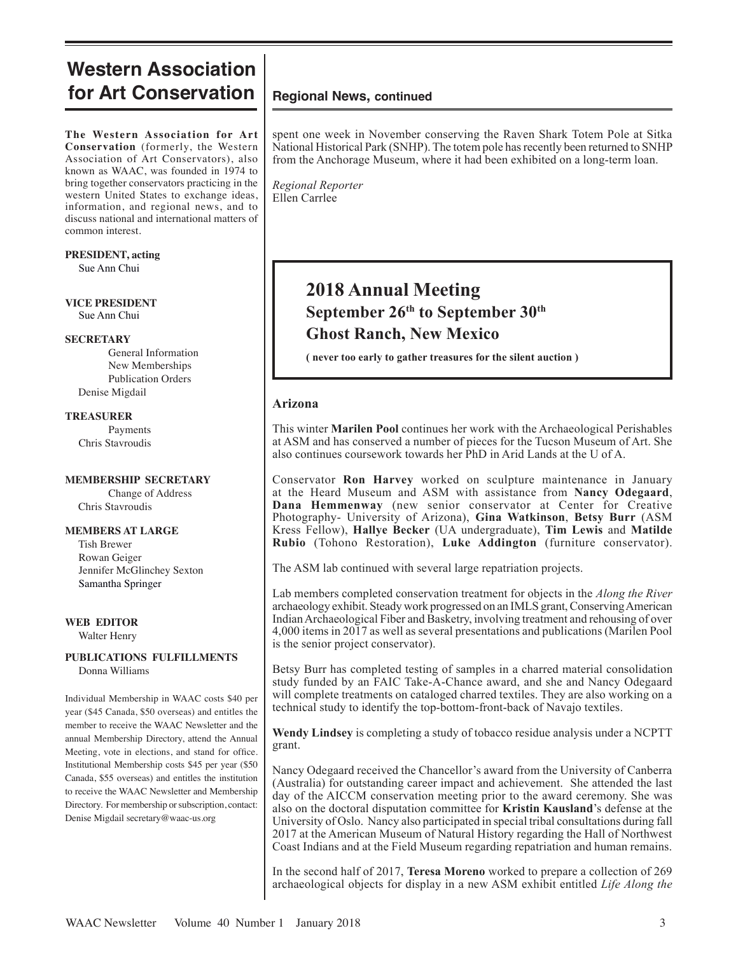# **Western Association for Art Conservation** | Regional News, continued

**The Western Association for Art Conservation** (formerly, the Western Association of Art Conservators), also known as WAAC, was founded in 1974 to bring together conservators practicing in the western United States to exchange ideas, information, and regional news, and to discuss national and international matters of common interest.

### **PRESIDENT, acting**

Sue Ann Chui

**VICE PRESIDENT** Sue Ann Chui

#### **SECRETARY**

General Information New Memberships Publication Orders Denise Migdail

#### **TREASURER**

Payments Chris Stavroudis

### **MEMBERSHIP SECRETARY**

Change of Address Chris Stavroudis

#### **MEMBERS AT LARGE**

 Tish Brewer Rowan Geiger Jennifer McGlinchey Sexton Samantha Springer

### **WEB EDITOR**

Walter Henry

#### **PUBLICATIONS FULFILLMENTS** Donna Williams

Individual Membership in WAAC costs \$40 per year (\$45 Canada, \$50 overseas) and entitles the member to receive the WAAC Newsletter and the annual Membership Directory, attend the Annual Meeting, vote in elections, and stand for office. Institutional Membership costs \$45 per year (\$50 Canada, \$55 overseas) and entitles the institution to receive the WAAC Newsletter and Membership Directory. For membership or subscription, contact: Denise Migdail secretary@waac-us.org

spent one week in November conserving the Raven Shark Totem Pole at Sitka National Historical Park (SNHP). The totem pole has recently been returned to SNHP from the Anchorage Museum, where it had been exhibited on a long-term loan.

*Regional Reporter* Ellen Carrlee

# **2018 Annual Meeting September 26th to September 30th Ghost Ranch, New Mexico**

**( never too early to gather treasures for the silent auction )**

### **Arizona**

This winter **Marilen Pool** continues her work with the Archaeological Perishables at ASM and has conserved a number of pieces for the Tucson Museum of Art. She also continues coursework towards her PhD in Arid Lands at the U of A.

Conservator **Ron Harvey** worked on sculpture maintenance in January at the Heard Museum and ASM with assistance from **Nancy Odegaard**, **Dana Hemmenway** (new senior conservator at Center for Creative Photography- University of Arizona), **Gina Watkinson**, **Betsy Burr** (ASM Kress Fellow), **Hallye Becker** (UA undergraduate), **Tim Lewis** and **Matilde Rubio** (Tohono Restoration), **Luke Addington** (furniture conservator).

The ASM lab continued with several large repatriation projects.

Lab members completed conservation treatment for objects in the *Along the River* archaeology exhibit. Steady work progressed on an IMLS grant, Conserving American Indian Archaeological Fiber and Basketry, involving treatment and rehousing of over 4,000 items in 2017 as well as several presentations and publications (Marilen Pool is the senior project conservator).

Betsy Burr has completed testing of samples in a charred material consolidation study funded by an FAIC Take-A-Chance award, and she and Nancy Odegaard will complete treatments on cataloged charred textiles. They are also working on a technical study to identify the top-bottom-front-back of Navajo textiles.

**Wendy Lindsey** is completing a study of tobacco residue analysis under a NCPTT grant.

Nancy Odegaard received the Chancellor's award from the University of Canberra (Australia) for outstanding career impact and achievement. She attended the last day of the AICCM conservation meeting prior to the award ceremony. She was also on the doctoral disputation committee for **Kristin Kausland**'s defense at the University of Oslo. Nancy also participated in special tribal consultations during fall 2017 at the American Museum of Natural History regarding the Hall of Northwest Coast Indians and at the Field Museum regarding repatriation and human remains.

In the second half of 2017, **Teresa Moreno** worked to prepare a collection of 269 archaeological objects for display in a new ASM exhibit entitled *Life Along the*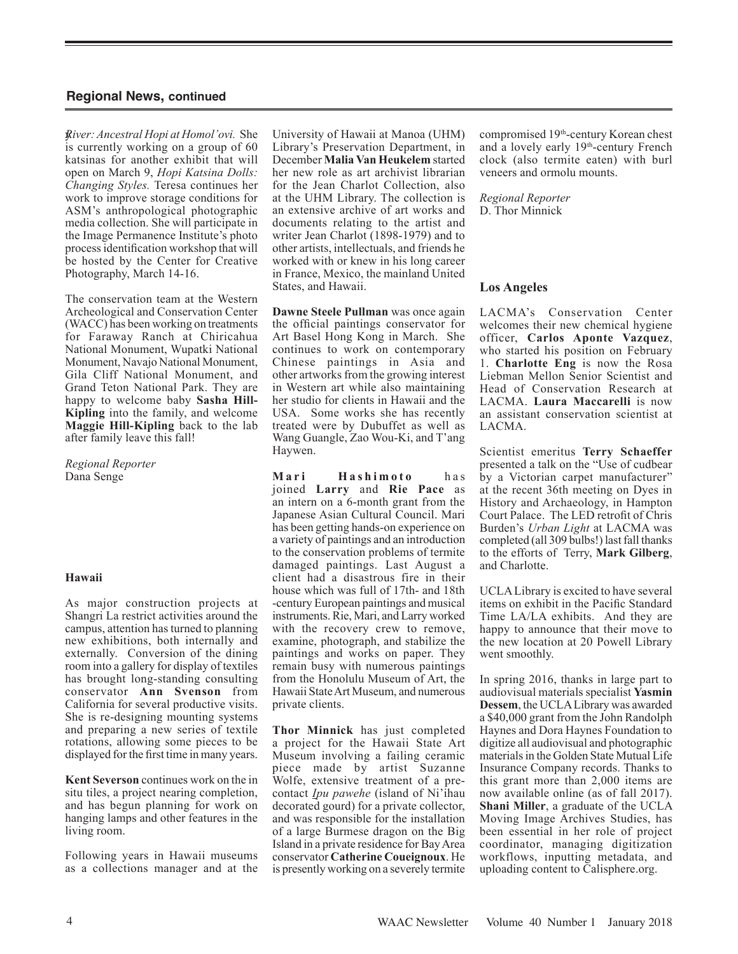y*River: Ancestral Hopi at Homol'ovi.* She is currently working on a group of 60 katsinas for another exhibit that will open on March 9, *Hopi Katsina Dolls: Changing Styles.* Teresa continues her work to improve storage conditions for ASM's anthropological photographic media collection. She will participate in the Image Permanence Institute's photo process identification workshop that will be hosted by the Center for Creative Photography, March 14-16.

The conservation team at the Western Archeological and Conservation Center (WACC) has been working on treatments for Faraway Ranch at Chiricahua National Monument, Wupatki National Monument, Navajo National Monument, Gila Cliff National Monument, and Grand Teton National Park. They are happy to welcome baby **Sasha Hill-Kipling** into the family, and welcome **Maggie Hill-Kipling** back to the lab after family leave this fall!

*Regional Reporter* Dana Senge

#### **Hawaii**

As major construction projects at Shangri La restrict activities around the campus, attention has turned to planning new exhibitions, both internally and externally. Conversion of the dining room into a gallery for display of textiles has brought long-standing consulting conservator **Ann Svenson** from California for several productive visits. She is re-designing mounting systems and preparing a new series of textile rotations, allowing some pieces to be displayed for the first time in many years.

**Kent Severson** continues work on the in situ tiles, a project nearing completion, and has begun planning for work on hanging lamps and other features in the living room.

Following years in Hawaii museums as a collections manager and at the University of Hawaii at Manoa (UHM) Library's Preservation Department, in December **Malia Van Heukelem** started her new role as art archivist librarian for the Jean Charlot Collection, also at the UHM Library. The collection is an extensive archive of art works and documents relating to the artist and writer Jean Charlot (1898-1979) and to other artists, intellectuals, and friends he worked with or knew in his long career in France, Mexico, the mainland United States, and Hawaii.

**Dawne Steele Pullman** was once again the official paintings conservator for Art Basel Hong Kong in March. She continues to work on contemporary Chinese paintings in Asia and other artworks from the growing interest in Western art while also maintaining her studio for clients in Hawaii and the USA. Some works she has recently treated were by Dubuffet as well as Wang Guangle, Zao Wou-Ki, and T'ang Haywen.

**M a r i H a s h i m o t o** h a s joined **Larry** and **Rie Pace** as an intern on a 6-month grant from the Japanese Asian Cultural Council. Mari has been getting hands-on experience on a variety of paintings and an introduction to the conservation problems of termite damaged paintings. Last August a client had a disastrous fire in their house which was full of 17th- and 18th -century European paintings and musical instruments. Rie, Mari, and Larry worked with the recovery crew to remove, examine, photograph, and stabilize the paintings and works on paper. They remain busy with numerous paintings from the Honolulu Museum of Art, the Hawaii State Art Museum, and numerous private clients.

**Thor Minnick** has just completed a project for the Hawaii State Art Museum involving a failing ceramic piece made by artist Suzanne Wolfe, extensive treatment of a precontact *Ipu pawehe* (island of Ni'ihau decorated gourd) for a private collector, and was responsible for the installation of a large Burmese dragon on the Big Island in a private residence for Bay Area conservator **Catherine Coueignoux**. He is presently working on a severely termite compromised 19th-century Korean chest and a lovely early 19th-century French clock (also termite eaten) with burl veneers and ormolu mounts.

*Regional Reporter* D. Thor Minnick

#### **Los Angeles**

LACMA's Conservation Center welcomes their new chemical hygiene officer, **Carlos Aponte Vazquez**, who started his position on February 1. **Charlotte Eng** is now the Rosa Liebman Mellon Senior Scientist and Head of Conservation Research at LACMA. **Laura Maccarelli** is now an assistant conservation scientist at LACMA.

Scientist emeritus **Terry Schaeffer** presented a talk on the "Use of cudbear by a Victorian carpet manufacturer" at the recent 36th meeting on Dyes in History and Archaeology, in Hampton Court Palace. The LED retrofit of Chris Burden's *Urban Light* at LACMA was completed (all 309 bulbs!) last fall thanks to the efforts of Terry, **Mark Gilberg**, and Charlotte.

UCLA Library is excited to have several items on exhibit in the Pacific Standard Time LA/LA exhibits. And they are happy to announce that their move to the new location at 20 Powell Library went smoothly.

In spring 2016, thanks in large part to audiovisual materials specialist **Yasmin Dessem**, the UCLA Library was awarded a \$40,000 grant from the John Randolph Haynes and Dora Haynes Foundation to digitize all audiovisual and photographic materials in the Golden State Mutual Life Insurance Company records. Thanks to this grant more than 2,000 items are now available online (as of fall 2017). **Shani Miller**, a graduate of the UCLA Moving Image Archives Studies, has been essential in her role of project coordinator, managing digitization workflows, inputting metadata, and uploading content to Calisphere.org.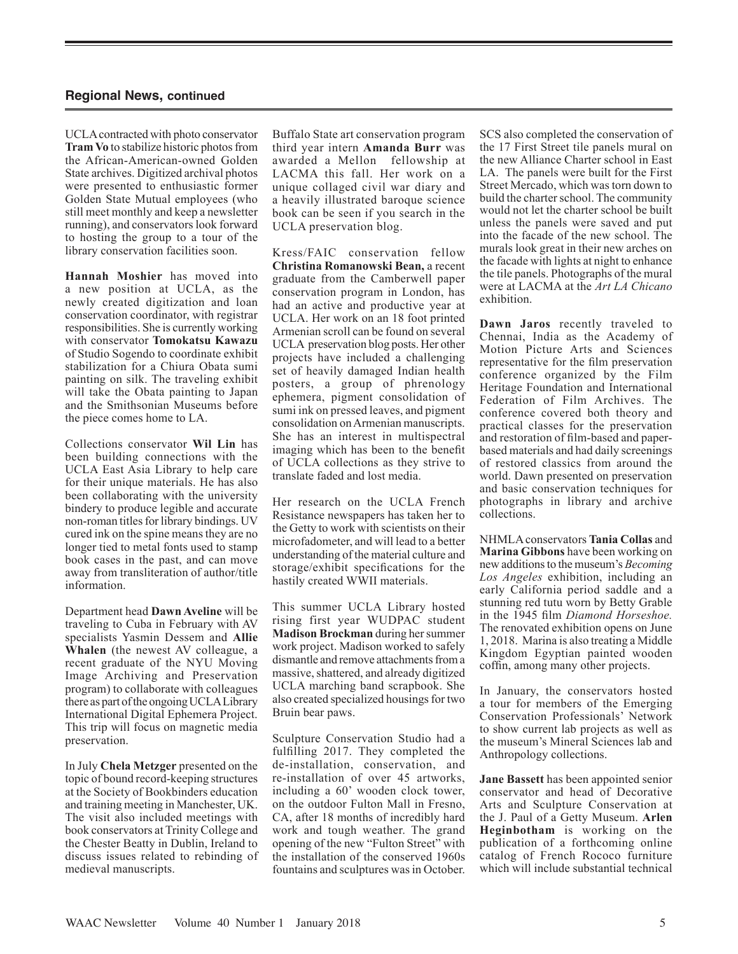UCLA contracted with photo conservator **Tram Vo** to stabilize historic photos from the African-American-owned Golden State archives. Digitized archival photos were presented to enthusiastic former Golden State Mutual employees (who still meet monthly and keep a newsletter running), and conservators look forward to hosting the group to a tour of the library conservation facilities soon.

**Hannah Moshier** has moved into a new position at UCLA, as the newly created digitization and loan conservation coordinator, with registrar responsibilities. She is currently working with conservator **Tomokatsu Kawazu** of Studio Sogendo to coordinate exhibit stabilization for a Chiura Obata sumi painting on silk. The traveling exhibit will take the Obata painting to Japan and the Smithsonian Museums before the piece comes home to LA.

Collections conservator **Wil Lin** has been building connections with the UCLA East Asia Library to help care for their unique materials. He has also been collaborating with the university bindery to produce legible and accurate non-roman titles for library bindings. UV cured ink on the spine means they are no longer tied to metal fonts used to stamp book cases in the past, and can move away from transliteration of author/title information.

Department head **Dawn Aveline** will be traveling to Cuba in February with AV specialists Yasmin Dessem and **Allie Whalen** (the newest AV colleague, a recent graduate of the NYU Moving Image Archiving and Preservation program) to collaborate with colleagues there as part of the ongoing UCLALibrary International Digital Ephemera Project. This trip will focus on magnetic media preservation.

In July **Chela Metzger** presented on the topic of bound record-keeping structures at the Society of Bookbinders education and training meeting in Manchester, UK. The visit also included meetings with book conservators at Trinity College and the Chester Beatty in Dublin, Ireland to discuss issues related to rebinding of medieval manuscripts.

Buffalo State art conservation program third year intern **Amanda Burr** was awarded a Mellon fellowship at LACMA this fall. Her work on a unique collaged civil war diary and a heavily illustrated baroque science book can be seen if you search in the UCLA preservation blog.

Kress/FAIC conservation fellow **Christina Romanowski Bean,** a recent graduate from the Camberwell paper conservation program in London, has had an active and productive year at UCLA. Her work on an 18 foot printed Armenian scroll can be found on several UCLA preservation blog posts. Her other projects have included a challenging set of heavily damaged Indian health posters, a group of phrenology ephemera, pigment consolidation of sumi ink on pressed leaves, and pigment consolidation on Armenian manuscripts. She has an interest in multispectral imaging which has been to the benefit of UCLA collections as they strive to translate faded and lost media.

Her research on the UCLA French Resistance newspapers has taken her to the Getty to work with scientists on their microfadometer, and will lead to a better understanding of the material culture and storage/exhibit specifications for the hastily created WWII materials.

This summer UCLA Library hosted rising first year WUDPAC student **Madison Brockman** during her summer work project. Madison worked to safely dismantle and remove attachments from a massive, shattered, and already digitized UCLA marching band scrapbook. She also created specialized housings for two Bruin bear paws.

Sculpture Conservation Studio had a fulfilling 2017. They completed the de-installation, conservation, and re-installation of over 45 artworks, including a 60' wooden clock tower, on the outdoor Fulton Mall in Fresno, CA, after 18 months of incredibly hard work and tough weather. The grand opening of the new "Fulton Street" with the installation of the conserved 1960s fountains and sculptures was in October. SCS also completed the conservation of the 17 First Street tile panels mural on the new Alliance Charter school in East LA. The panels were built for the First Street Mercado, which was torn down to build the charter school. The community would not let the charter school be built unless the panels were saved and put into the facade of the new school. The murals look great in their new arches on the facade with lights at night to enhance the tile panels. Photographs of the mural were at LACMA at the *Art LA Chicano* exhibition.

**Dawn Jaros** recently traveled to Chennai, India as the Academy of Motion Picture Arts and Sciences representative for the film preservation conference organized by the Film Heritage Foundation and International Federation of Film Archives. The conference covered both theory and practical classes for the preservation and restoration of film-based and paperbased materials and had daily screenings of restored classics from around the world. Dawn presented on preservation and basic conservation techniques for photographs in library and archive collections.

NHMLA conservators **Tania Collas** and **Marina Gibbons** have been working on new additions to the museum's *Becoming Los Angeles* exhibition, including an early California period saddle and a stunning red tutu worn by Betty Grable in the 1945 film *Diamond Horseshoe.*  The renovated exhibition opens on June 1, 2018. Marina is also treating a Middle Kingdom Egyptian painted wooden coffin, among many other projects.

In January, the conservators hosted a tour for members of the Emerging Conservation Professionals' Network to show current lab projects as well as the museum's Mineral Sciences lab and Anthropology collections.

**Jane Bassett** has been appointed senior conservator and head of Decorative Arts and Sculpture Conservation at the J. Paul of a Getty Museum. **Arlen Heginbotham** is working on the publication of a forthcoming online catalog of French Rococo furniture which will include substantial technical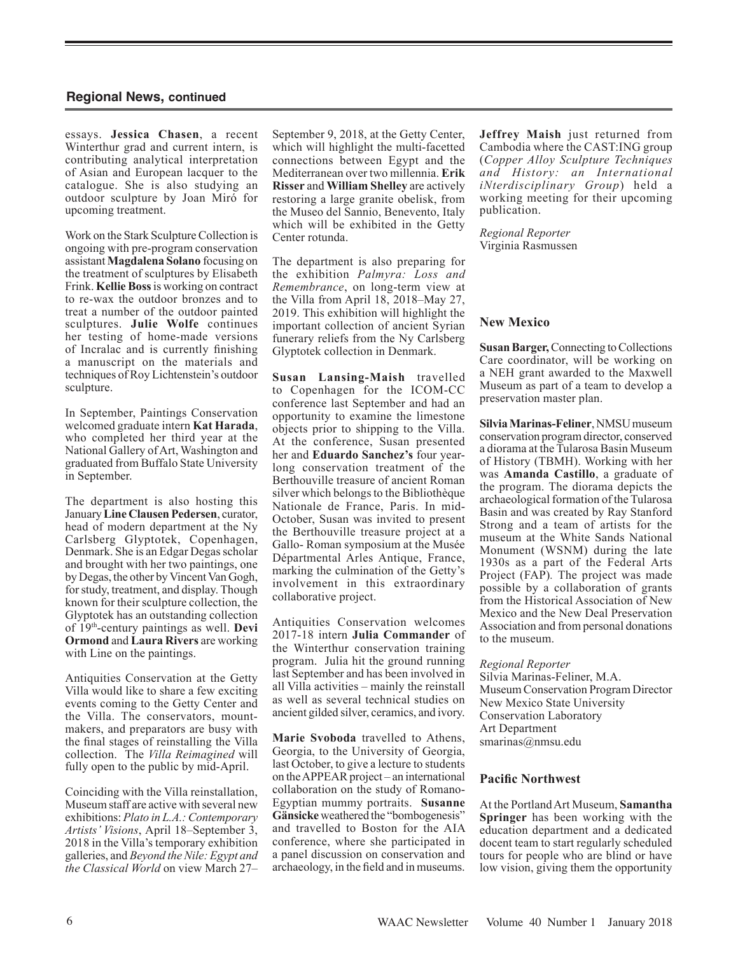essays. **Jessica Chasen**, a recent Winterthur grad and current intern, is contributing analytical interpretation of Asian and European lacquer to the catalogue. She is also studying an outdoor sculpture by Joan Miró for upcoming treatment.

Work on the Stark Sculpture Collection is ongoing with pre-program conservation assistant **Magdalena Solano** focusing on the treatment of sculptures by Elisabeth Frink. **Kellie Boss**is working on contract to re-wax the outdoor bronzes and to treat a number of the outdoor painted sculptures. **Julie Wolfe** continues her testing of home-made versions of Incralac and is currently finishing a manuscript on the materials and techniques of Roy Lichtenstein's outdoor sculpture.

In September, Paintings Conservation welcomed graduate intern **Kat Harada**, who completed her third year at the National Gallery of Art, Washington and graduated from Buffalo State University in September.

The department is also hosting this January **Line Clausen Pedersen**, curator, head of modern department at the Ny Carlsberg Glyptotek, Copenhagen, Denmark. She is an Edgar Degas scholar and brought with her two paintings, one by Degas, the other by Vincent Van Gogh, for study, treatment, and display. Though known for their sculpture collection, the Glyptotek has an outstanding collection of 19th-century paintings as well. **Devi Ormond** and **Laura Rivers** are working with Line on the paintings.

Antiquities Conservation at the Getty Villa would like to share a few exciting events coming to the Getty Center and the Villa. The conservators, mountmakers, and preparators are busy with the final stages of reinstalling the Villa collection. The *Villa Reimagined* will fully open to the public by mid-April.

Coinciding with the Villa reinstallation, Museum staff are active with several new exhibitions: *Plato in L.A.: Contemporary Artists' Visions*, April 18–September 3, 2018 in the Villa's temporary exhibition galleries, and *Beyond the Nile: Egypt and the Classical World* on view March 27–

September 9, 2018, at the Getty Center, which will highlight the multi-facetted connections between Egypt and the Mediterranean over two millennia. **Erik Risser** and **William Shelley** are actively restoring a large granite obelisk, from the Museo del Sannio, Benevento, Italy which will be exhibited in the Getty Center rotunda.

The department is also preparing for the exhibition *Palmyra: Loss and Remembrance*, on long-term view at the Villa from April 18, 2018–May 27, 2019. This exhibition will highlight the important collection of ancient Syrian funerary reliefs from the Ny Carlsberg Glyptotek collection in Denmark.

**Susan Lansing-Maish** travelled to Copenhagen for the ICOM-CC conference last September and had an opportunity to examine the limestone objects prior to shipping to the Villa. At the conference, Susan presented her and **Eduardo Sanchez's** four yearlong conservation treatment of the Berthouville treasure of ancient Roman silver which belongs to the Bibliothèque Nationale de France, Paris. In mid-October, Susan was invited to present the Berthouville treasure project at a Gallo- Roman symposium at the Musée Départmental Arles Antique, France, marking the culmination of the Getty's involvement in this extraordinary collaborative project.

Antiquities Conservation welcomes 2017-18 intern **Julia Commander** of the Winterthur conservation training program. Julia hit the ground running last September and has been involved in all Villa activities – mainly the reinstall as well as several technical studies on ancient gilded silver, ceramics, and ivory.

**Marie Svoboda** travelled to Athens, Georgia, to the University of Georgia, last October, to give a lecture to students on the APPEAR project – an international collaboration on the study of Romano-Egyptian mummy portraits. **Susanne Gänsicke** weathered the "bombogenesis" and travelled to Boston for the AIA conference, where she participated in a panel discussion on conservation and archaeology, in the field and in museums. **Jeffrey Maish** just returned from Cambodia where the CAST:ING group (*Copper Alloy Sculpture Techniques and History: an International iNterdisciplinary Group*) held a working meeting for their upcoming publication.

*Regional Reporter* Virginia Rasmussen

### **New Mexico**

**Susan Barger,**Connecting to Collections Care coordinator, will be working on a NEH grant awarded to the Maxwell Museum as part of a team to develop a preservation master plan.

**Silvia Marinas-Feliner**, NMSUmuseum conservation program director, conserved a diorama at the Tularosa Basin Museum of History (TBMH). Working with her was **Amanda Castillo**, a graduate of the program. The diorama depicts the archaeological formation of the Tularosa Basin and was created by Ray Stanford Strong and a team of artists for the museum at the White Sands National Monument (WSNM) during the late 1930s as a part of the Federal Arts Project (FAP)*.* The project was made possible by a collaboration of grants from the Historical Association of New Mexico and the New Deal Preservation Association and from personal donations to the museum.

*Regional Reporter*

Silvia Marinas-Feliner, M.A. Museum Conservation Program Director New Mexico State University Conservation Laboratory Art Department smarinas@nmsu.edu

### **Pacific Northwest**

At the Portland Art Museum, **Samantha Springer** has been working with the education department and a dedicated docent team to start regularly scheduled tours for people who are blind or have low vision, giving them the opportunity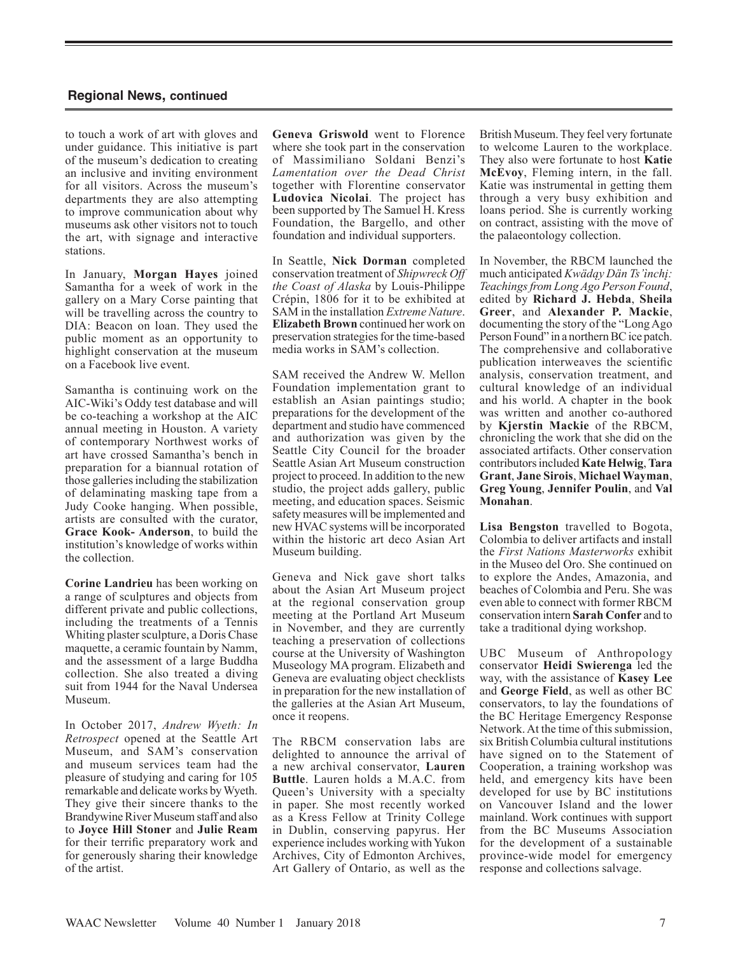to touch a work of art with gloves and under guidance. This initiative is part of the museum's dedication to creating an inclusive and inviting environment for all visitors. Across the museum's departments they are also attempting to improve communication about why museums ask other visitors not to touch the art, with signage and interactive stations.

In January, **Morgan Hayes** joined Samantha for a week of work in the gallery on a Mary Corse painting that will be travelling across the country to DIA: Beacon on loan. They used the public moment as an opportunity to highlight conservation at the museum on a Facebook live event.

Samantha is continuing work on the AIC-Wiki's Oddy test database and will be co-teaching a workshop at the AIC annual meeting in Houston. A variety of contemporary Northwest works of art have crossed Samantha's bench in preparation for a biannual rotation of those galleries including the stabilization of delaminating masking tape from a Judy Cooke hanging. When possible, artists are consulted with the curator, **Grace Kook- Anderson**, to build the institution's knowledge of works within the collection.

**Corine Landrieu** has been working on a range of sculptures and objects from different private and public collections, including the treatments of a Tennis Whiting plaster sculpture, a Doris Chase maquette, a ceramic fountain by Namm, and the assessment of a large Buddha collection. She also treated a diving suit from 1944 for the Naval Undersea Museum.

In October 2017, *Andrew Wyeth: In Retrospect* opened at the Seattle Art Museum, and SAM's conservation and museum services team had the pleasure of studying and caring for 105 remarkable and delicate works by Wyeth. They give their sincere thanks to the Brandywine River Museum staff and also to **Joyce Hill Stoner** and **Julie Ream** for their terrific preparatory work and for generously sharing their knowledge of the artist.

**Geneva Griswold** went to Florence where she took part in the conservation of Massimiliano Soldani Benzi's *Lamentation over the Dead Christ* together with Florentine conservator **Ludovica Nicolai**. The project has been supported by The Samuel H. Kress Foundation, the Bargello, and other foundation and individual supporters.

In Seattle, **Nick Dorman** completed conservation treatment of *Shipwreck Off the Coast of Alaska* by Louis-Philippe Crépin, 1806 for it to be exhibited at SAM in the installation *Extreme Nature*. **Elizabeth Brown** continued her work on preservation strategies for the time-based media works in SAM's collection.

SAM received the Andrew W. Mellon Foundation implementation grant to establish an Asian paintings studio; preparations for the development of the department and studio have commenced and authorization was given by the Seattle City Council for the broader Seattle Asian Art Museum construction project to proceed. In addition to the new studio, the project adds gallery, public meeting, and education spaces. Seismic safety measures will be implemented and new HVAC systems will be incorporated within the historic art deco Asian Art Museum building.

Geneva and Nick gave short talks about the Asian Art Museum project at the regional conservation group meeting at the Portland Art Museum in November, and they are currently teaching a preservation of collections course at the University of Washington Museology MA program. Elizabeth and Geneva are evaluating object checklists in preparation for the new installation of the galleries at the Asian Art Museum, once it reopens.

The RBCM conservation labs are delighted to announce the arrival of a new archival conservator, **Lauren Buttle**. Lauren holds a M.A.C. from Queen's University with a specialty in paper. She most recently worked as a Kress Fellow at Trinity College in Dublin, conserving papyrus. Her experience includes working with Yukon Archives, City of Edmonton Archives, Art Gallery of Ontario, as well as the British Museum. They feel very fortunate to welcome Lauren to the workplace. They also were fortunate to host **Katie McEvoy**, Fleming intern, in the fall. Katie was instrumental in getting them through a very busy exhibition and loans period. She is currently working on contract, assisting with the move of the palaeontology collection.

In November, the RBCM launched the much anticipated *Kwädąy Dän Ts'ìnchį: Teachings from Long Ago Person Found*, edited by **Richard J. Hebda**, **Sheila Greer**, and **Alexander P. Mackie**, documenting the story of the "Long Ago Person Found" in a northern BC ice patch. The comprehensive and collaborative publication interweaves the scientific analysis, conservation treatment, and cultural knowledge of an individual and his world. A chapter in the book was written and another co-authored by **Kjerstin Mackie** of the RBCM, chronicling the work that she did on the associated artifacts. Other conservation contributors included **Kate Helwig**, **Tara Grant**, **Jane Sirois**, **Michael Wayman**, **Greg Young**, **Jennifer Poulin**, and **Val Monahan**.

**Lisa Bengston** travelled to Bogota, Colombia to deliver artifacts and install the *First Nations Masterworks* exhibit in the Museo del Oro. She continued on to explore the Andes, Amazonia, and beaches of Colombia and Peru. She was even able to connect with former RBCM conservation intern **Sarah Confer** and to take a traditional dying workshop.

UBC Museum of Anthropology conservator **Heidi Swierenga** led the way, with the assistance of **Kasey Lee** and **George Field**, as well as other BC conservators, to lay the foundations of the BC Heritage Emergency Response Network. At the time of this submission, six British Columbia cultural institutions have signed on to the Statement of Cooperation, a training workshop was held, and emergency kits have been developed for use by BC institutions on Vancouver Island and the lower mainland. Work continues with support from the BC Museums Association for the development of a sustainable province-wide model for emergency response and collections salvage.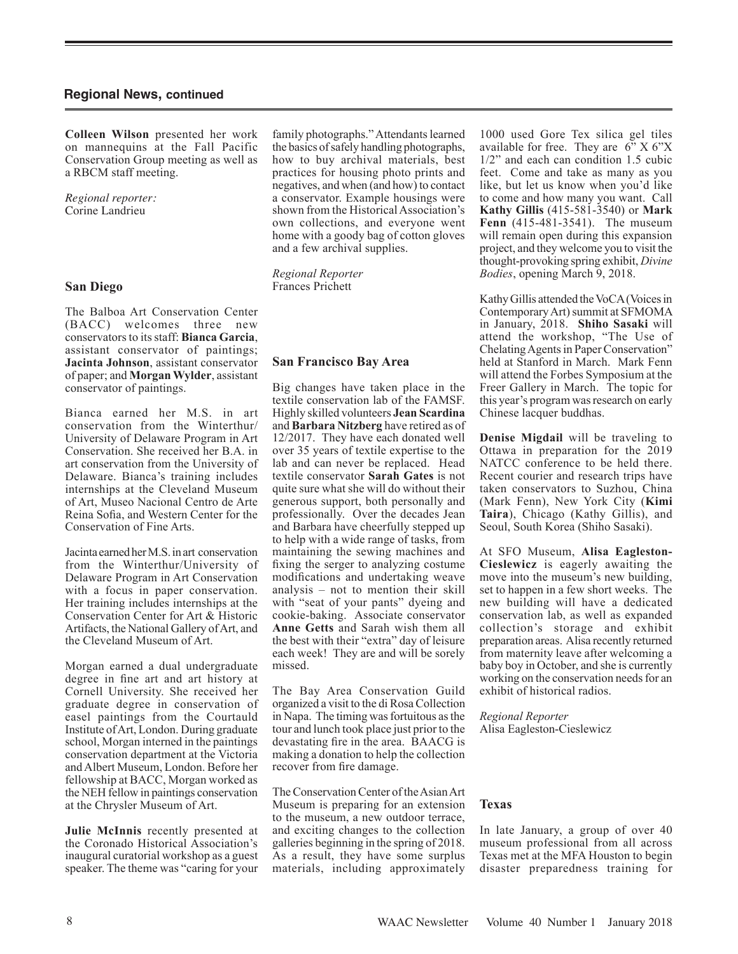**Colleen Wilson** presented her work on mannequins at the Fall Pacific Conservation Group meeting as well as a RBCM staff meeting.

*Regional reporter:* Corine Landrieu

### **San Diego**

The Balboa Art Conservation Center (BACC) welcomes three new conservators to its staff: **Bianca Garcia**, assistant conservator of paintings; **Jacinta Johnson**, assistant conservator of paper; and **Morgan Wylder**, assistant conservator of paintings.

Bianca earned her M.S. in art conservation from the Winterthur/ University of Delaware Program in Art Conservation. She received her B.A. in art conservation from the University of Delaware. Bianca's training includes internships at the Cleveland Museum of Art, Museo Nacional Centro de Arte Reina Sofia, and Western Center for the Conservation of Fine Arts.

Jacinta earned her M.S. in art conservation from the Winterthur/University of Delaware Program in Art Conservation with a focus in paper conservation. Her training includes internships at the Conservation Center for Art & Historic Artifacts, the National Gallery of Art, and the Cleveland Museum of Art.

Morgan earned a dual undergraduate degree in fine art and art history at Cornell University. She received her graduate degree in conservation of easel paintings from the Courtauld Institute of Art, London. During graduate school, Morgan interned in the paintings conservation department at the Victoria and Albert Museum, London. Before her fellowship at BACC, Morgan worked as the NEH fellow in paintings conservation at the Chrysler Museum of Art.

**Julie McInnis** recently presented at the Coronado Historical Association's inaugural curatorial workshop as a guest speaker. The theme was "caring for your

family photographs." Attendants learned the basics of safely handling photographs, how to buy archival materials, best practices for housing photo prints and negatives, and when (and how) to contact a conservator. Example housings were shown from the Historical Association's own collections, and everyone went home with a goody bag of cotton gloves and a few archival supplies.

*Regional Reporter* Frances Prichett

### **San Francisco Bay Area**

Big changes have taken place in the textile conservation lab of the FAMSF. Highly skilled volunteers **Jean Scardina** and **Barbara Nitzberg** have retired as of 12/2017. They have each donated well over 35 years of textile expertise to the lab and can never be replaced. Head textile conservator **Sarah Gates** is not quite sure what she will do without their generous support, both personally and professionally. Over the decades Jean and Barbara have cheerfully stepped up to help with a wide range of tasks, from maintaining the sewing machines and fixing the serger to analyzing costume modifications and undertaking weave analysis – not to mention their skill with "seat of your pants" dyeing and cookie-baking. Associate conservator **Anne Getts** and Sarah wish them all the best with their "extra" day of leisure each week! They are and will be sorely missed.

The Bay Area Conservation Guild organized a visit to the di Rosa Collection in Napa. The timing was fortuitous as the tour and lunch took place just prior to the devastating fire in the area. BAACG is making a donation to help the collection recover from fire damage.

The Conservation Center of the Asian Art Museum is preparing for an extension to the museum, a new outdoor terrace, and exciting changes to the collection galleries beginning in the spring of 2018. As a result, they have some surplus materials, including approximately 1000 used Gore Tex silica gel tiles available for free. They are  $6$ " X  $6$ "X 1/2" and each can condition 1.5 cubic feet. Come and take as many as you like, but let us know when you'd like to come and how many you want. Call **Kathy Gillis** (415-581-3540) or **Mark Fenn** (415-481-3541). The museum will remain open during this expansion project, and they welcome you to visit the thought-provoking spring exhibit, *Divine Bodies*, opening March 9, 2018.

Kathy Gillis attended the VoCA (Voices in Contemporary Art) summit at SFMOMA in January, 2018. **Shiho Sasaki** will attend the workshop, "The Use of Chelating Agents in Paper Conservation" held at Stanford in March. Mark Fenn will attend the Forbes Symposium at the Freer Gallery in March. The topic for this year's program was research on early Chinese lacquer buddhas.

**Denise Migdail** will be traveling to Ottawa in preparation for the 2019 NATCC conference to be held there. Recent courier and research trips have taken conservators to Suzhou, China (Mark Fenn), New York City (**Kimi Taira**), Chicago (Kathy Gillis), and Seoul, South Korea (Shiho Sasaki).

At SFO Museum, **Alisa Eagleston-Cieslewicz** is eagerly awaiting the move into the museum's new building, set to happen in a few short weeks. The new building will have a dedicated conservation lab, as well as expanded collection's storage and exhibit preparation areas. Alisa recently returned from maternity leave after welcoming a baby boy in October, and she is currently working on the conservation needs for an exhibit of historical radios.

*Regional Reporter* Alisa Eagleston-Cieslewicz

#### **Texas**

In late January, a group of over 40 museum professional from all across Texas met at the MFA Houston to begin disaster preparedness training for